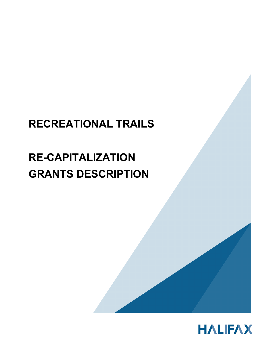# **RECREATIONAL TRAILS**

# **RE-CAPITALIZATION GRANTS DESCRIPTION**



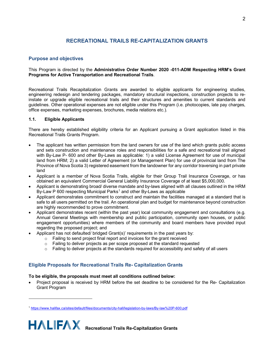# **RECREATIONAL TRAILS RE-CAPITALIZATION GRANTS**

## **Purpose and objectives**

#### This Program is directed by the **Administrative Order Number 2020 -011-ADM Respecting HRM's Grant Programs for Active Transportation and Recreational Trails**.

Recreational Trails Recapitalization Grants are awarded to eligible applicants for engineering studies, engineering redesign and tendering packages, mandatory structural inspections, construction projects to reinstate or upgrade eligible recreational trails and their structures and amenities to current standards and guidelines. Other operational expenses are not eligible under this Program (i.e. photocopies, late pay charges, office expenses, marketing expenses, brochures, media relations etc.).

#### **1.1. Eligible Applicants**

There are hereby established eligibility criteria for an Applicant pursuing a Grant application listed in this Recreational Trails Grants Program.

- The applicant has written permission from the land owners for use of the land which grants public access and sets construction and maintenance roles and responsibilities for a safe and recreational trail aligned with By-Law P- 600 and other By-Laws as applicable: 1) a valid License Agreement for use of municipal land from HRM; 2) a valid Letter of Agreement (or Management Plan) for use of provincial land from The Province of Nova Scotia 3) registered easement from the landowner for any corridor traversing in part private land
- Applicant is a member of Nova Scotia Trails, eligible for their Group Trail Insurance Coverage, or has obtained an equivalent Commercial General Liability Insurance Coverage of at least \$5,000,000.
- Applicant is demonstrating broad/ diverse mandate and by-laws aligned with all clauses outlined in the HRM By-Law P 600 respecting Municipal Parks<sup>[1](#page-1-0)</sup> and other By-Laws as applicable
- Applicant demonstrates commitment to construct and maintain the facilities managed at a standard that is safe to all users permitted on the trail. An operational plan and budget for maintenance beyond construction are highly recommended to prove commitment.
- Applicant demonstrates recent (within the past year) local community engagement and consultations (e.g. Annual General Meetings with membership and public participation, community open houses, or public engagement opportunities) where members of the community and board members have provided input regarding the proposed project; and
- Applicant has not defaulted/ bridged Grant(s)' requirements in the past years by:
	- o Failing to send project final report and invoices for the grant received
	- o Failing to deliver projects as per scope proposed at the standard requested
	- o Failing to deliver projects at the standards required for accessibility and safety of all users

# **Eligible Proposals for Recreational Trails Re- Capitalization Grants**

#### **To be eligible, the proposals must meet all conditions outlined below:**

• Project proposal is received by HRM before the set deadline to be considered for the Re- Capitalization Grant Program

<span id="page-1-0"></span><sup>1</sup> <https://www.halifax.ca/sites/default/files/documents/city-hall/legislation-by-laws/By-law%20P-600.pdf>

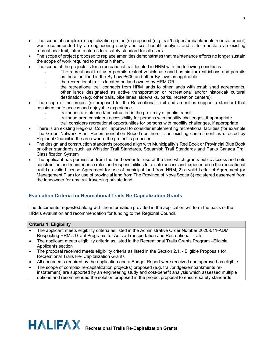- The scope of complex re-capitalization project(s) proposed (e.g. trail/bridges/embankments re-instatement) was recommended by an engineering study and cost-benefit analysis and is to re-instate an existing recreational trail, infrastructures to a safety standard for all users
- The scope of project proposed to replace amenities demonstrates that maintenance efforts no longer sustain the scope of work required to maintain them.
- The scope of the projects is for a recreational trail located in HRM with the following conditions:
	- ₋ The recreational trail user permits restrict vehicle use and has similar restrictions and permits as those outlined in the By-Law P600 and other By-laws as applicable
	- ₋ the recreational trail is located on land owned by HRM OR
	- the recreational trail connects from HRM lands to other lands with established agreements, other lands designated as active transportation or recreational and/or historical/ cultural destination (e.g. other trails, bike lanes, sidewalks, parks, recreation centers);
- The scope of the project (s) proposed for the Recreational Trail and amenities support a standard that considers safe access and enjoyable experience
	- trailheads are planned/ constructed in the proximity of public transit;
	- ₋ trailhead area considers accessibility for persons with mobility challenges, if appropriate
	- ₋ trail considers recreational opportunities for persons with mobility challenges, if appropriate
- There is an existing Regional Council approval to consider implementing recreational facilities (for example The Green Network Plan, Recommendation Report) or there is an existing commitment as directed by Regional Council in the area where the project is proposed
- The design and construction standards proposed align with Municipality's Red Book or Provincial Blue Book or other standards such as Whistler Trail Standards, Squamish Trail Standards and Parks Canada Trail Classification System
- The applicant has permission from the land owner for use of the land which grants public access and sets construction and maintenance roles and responsibilities for a safe access and experience on the recreational trail:1) a valid License Agreement for use of municipal land from HRM; 2) a valid Letter of Agreement (or Management Plan) for use of provincial land from The Province of Nova Scotia 3) registered easement from the landowner for any trail traversing private land

# **Evaluation Criteria for Recreational Trails Re-Capitalization Grants**

The documents requested along with the information provided in the application will form the basis of the HRM's evaluation and recommendation for funding to the Regional Council.

#### **Criteria 1: Eligibility**

- The applicant meets eligibility criteria as listed in the Administrative Order Number 2020-011-ADM Respecting HRM's Grant Programs for Active Transportation and Recreational Trails
- The applicant meets eligibility criteria as listed in the Recreational Trails Grants Program –Eligible Applicants section
- The proposal received meets eligibility criteria as listed in the Section 2.1. Eligible Proposals for Recreational Trails Re- Capitalization Grants
- All documents required by the application and a Budget Report were received and approved as eligible
- The scope of complex re-capitalization project(s) proposed (e.g. trail/bridges/embankments reinstatement) are supported by an engineering study and cost-benefit analysis which assessed multiple options and recommended the solution proposed in the project proposal to ensure safety standards

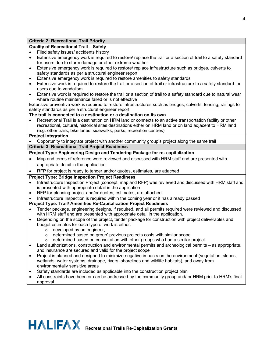# **Criteria 2: Recreational Trail Priority**

# **Quality of Recreational Trail – Safety**

- Filed safety issues/ accidents history
- Extensive emergency work is required to restore/ replace the trail or a section of trail to a safety standard for users due to storm damage or other extreme weather
- Extensive emergency work is required to restore/ replace infrastructure such as bridges, culverts to safety standards as per a structural engineer report
- Extensive emergency work is required to restore amenities to safety standards
- Extensive work is required to restore the trail or a section of trail or infrastructure to a safety standard for users due to vandalism
- Extensive work is required to restore the trail or a section of trail to a safety standard due to natural wear where routine maintenance failed or is not effective

Extensive preventive work is required to restore infrastructures such as bridges, culverts, fencing, railings to safety standards as per a structural engineer report

#### **The trail is connected to a destination or a destination on its own**

• Recreational Trail is a destination on HRM land or connects to an active transportation facility or other recreational, cultural, historical sites destinations either on HRM land or on land adjacent to HRM land (e.g. other trails, bike lanes, sidewalks, parks, recreation centres)

### **Project Integration**

• Opportunity to integrate project with another community group's project along the same trail

# **Criteria 3: Recreational Trail Project Readiness**

# **Project Type: Engineering Design and Tendering Package for re- capitalization**

- Map and terms of reference were reviewed and discussed with HRM staff and are presented with appropriate detail in the application
- RFP for project is ready to tender and/or quotes, estimates, are attached

# **Project Type: Bridge Inspection Project Readiness**

- Infrastructure Inspection Project (concept, map and RFP) was reviewed and discussed with HRM staff and is presented with appropriate detail in the application
- RFP for planning project and/or quotes, estimates, are attached
- Infrastructure Inspection is required within the coming year or it has already passed

#### **Project Type: Trail/ Amenities Re-Capitalization Project Readiness**

- Tender package, engineering designs, if required, and all permits required were reviewed and discussed with HRM staff and are presented with appropriate detail in the application.
- Depending on the scope of the project, tender package for construction with project deliverables and budget estimates for each type of work is either:
	- $\circ$  developed by an engineer;<br> $\circ$  determined based on group
	- $\circ$  determined based on group' previous projects costs with similar scope<br>  $\circ$  determined based on consultation with other groups who had a similar
	- determined based on consultation with other groups who had a similar project
- Land authorizations, construction and environmental permits and archeological permits as appropriate, and insurance are secured and valid for the project scope
- Project is planned and designed to minimize negative impacts on the environment (vegetation, slopes, wetlands, water systems, drainage, rivers, shorelines and wildlife habitats), and away from environmentally sensitive areas
- Safety standards are included as applicable into the construction project plan
- All constraints have been or can be addressed by the community group and/ or HRM prior to HRM's final approval

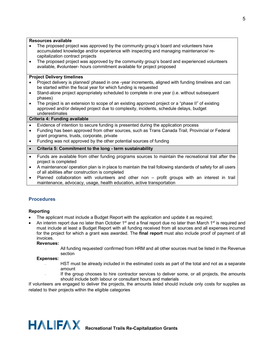#### **Resources available**

- The proposed project was approved by the community group's board and volunteers have accumulated knowledge and/or experience with inspecting and managing maintenance/ recapitalization contract projects
- The proposed project was approved by the community group's board and experienced volunteers available, #volunteer- hours commitment available for project proposed

#### **Project Delivery timelines**

- Project delivery is planned/ phased in one -year increments, aligned with funding timelines and can be started within the fiscal year for which funding is requested
- Stand-alone project appropriately scheduled to complete in one year (i.e. without subsequent phases)
- The project is an extension to scope of an existing approved project or a "phase II" of existing approved and/or delayed project due to complexity, incidents, schedule delays, budget underestimates

#### **Criteria 4: Funding available**

- Evidence of intention to secure funding is presented during the application process
- Funding has been approved from other sources, such as Trans Canada Trail, Provincial or Federal grant programs, trusts, corporate, private
- Funding was not approved by the other potential sources of funding
- **Criteria 5: Commitment to the long - term sustainability**
- Funds are available from other funding programs sources to maintain the recreational trail after the project is completed
- A maintenance/ operation plan is in place to maintain the trail following standards of safety for all users of all abilities after construction is completed
- Planned collaboration with volunteers and other non profit groups with an interest in trail maintenance, advocacy, usage, health education, active transportation

# **Procedures**

#### **Reporting**

- The applicant must include a Budget Report with the application and update it as required;
- An interim report due no later than October 1<sup>st</sup> and a final report due no later than March 1<sup>st</sup> is required and must include at least a Budget Report with all funding received from all sources and all expenses incurred for the project for which a grant was awarded. The **final report** must also include proof of payment of all invoices.

#### **Revenues:**

All funding requested/ confirmed from HRM and all other sources must be listed in the Revenue section

#### **Expenses:**

- HST must be already included in the estimated costs as part of the total and not as a separate amount
- ₋ If the group chooses to hire contractor services to deliver some, or all projects, the amounts should include both labour or consultant hours and materials

If volunteers are engaged to deliver the projects, the amounts listed should include only costs for supplies as related to their projects within the eligible categories